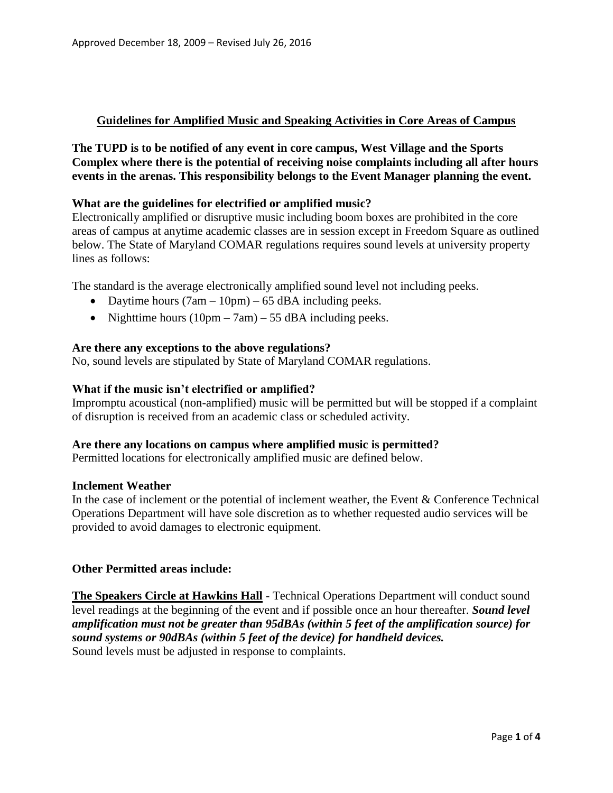# **Guidelines for Amplified Music and Speaking Activities in Core Areas of Campus**

**The TUPD is to be notified of any event in core campus, West Village and the Sports Complex where there is the potential of receiving noise complaints including all after hours events in the arenas. This responsibility belongs to the Event Manager planning the event.** 

## **What are the guidelines for electrified or amplified music?**

Electronically amplified or disruptive music including boom boxes are prohibited in the core areas of campus at anytime academic classes are in session except in Freedom Square as outlined below. The State of Maryland COMAR regulations requires sound levels at university property lines as follows:

The standard is the average electronically amplified sound level not including peeks.

- Daytime hours  $(7am 10pm) 65$  dBA including peeks.
- Nighttime hours  $(10pm 7am) 55$  dBA including peeks.

### **Are there any exceptions to the above regulations?**

No, sound levels are stipulated by State of Maryland COMAR regulations.

### **What if the music isn't electrified or amplified?**

Impromptu acoustical (non-amplified) music will be permitted but will be stopped if a complaint of disruption is received from an academic class or scheduled activity.

#### **Are there any locations on campus where amplified music is permitted?**

Permitted locations for electronically amplified music are defined below.

#### **Inclement Weather**

In the case of inclement or the potential of inclement weather, the Event & Conference Technical Operations Department will have sole discretion as to whether requested audio services will be provided to avoid damages to electronic equipment.

## **Other Permitted areas include:**

**The Speakers Circle at Hawkins Hall** - Technical Operations Department will conduct sound level readings at the beginning of the event and if possible once an hour thereafter. *Sound level amplification must not be greater than 95dBAs (within 5 feet of the amplification source) for sound systems or 90dBAs (within 5 feet of the device) for handheld devices.* Sound levels must be adjusted in response to complaints.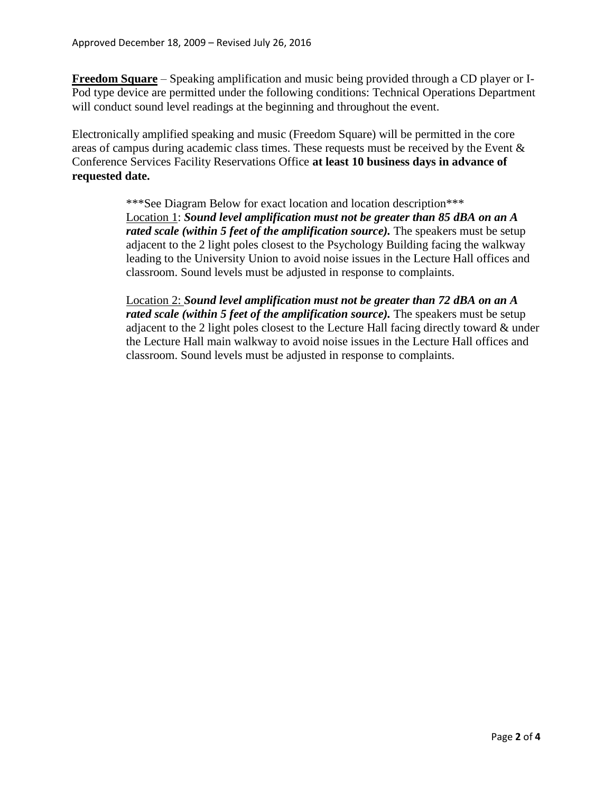**Freedom Square** – Speaking amplification and music being provided through a CD player or I-Pod type device are permitted under the following conditions: Technical Operations Department will conduct sound level readings at the beginning and throughout the event.

Electronically amplified speaking and music (Freedom Square) will be permitted in the core areas of campus during academic class times. These requests must be received by the Event & Conference Services Facility Reservations Office **at least 10 business days in advance of requested date.**

> \*\*\*See Diagram Below for exact location and location description\*\*\* Location 1: *Sound level amplification must not be greater than 85 dBA on an A rated scale (within 5 feet of the amplification source)*. The speakers must be setup adjacent to the 2 light poles closest to the Psychology Building facing the walkway leading to the University Union to avoid noise issues in the Lecture Hall offices and classroom. Sound levels must be adjusted in response to complaints.

Location 2: *Sound level amplification must not be greater than 72 dBA on an A rated scale (within 5 feet of the amplification source)*. The speakers must be setup adjacent to the 2 light poles closest to the Lecture Hall facing directly toward & under the Lecture Hall main walkway to avoid noise issues in the Lecture Hall offices and classroom. Sound levels must be adjusted in response to complaints.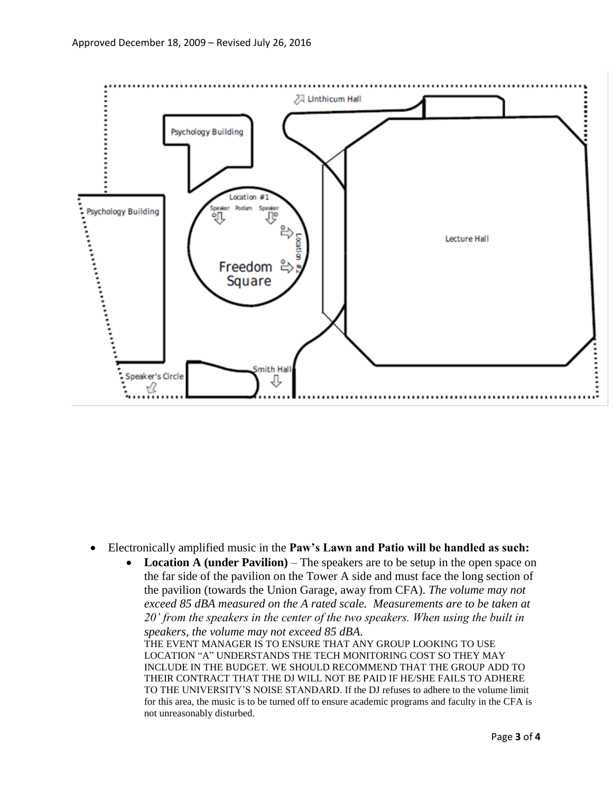

- Electronically amplified music in the **Paw's Lawn and Patio will be handled as such:**
	- **Location A (under Pavilion)** The speakers are to be setup in the open space on the far side of the pavilion on the Tower A side and must face the long section of the pavilion (towards the Union Garage, away from CFA). *The volume may not exceed 85 dBA measured on the A rated scale. Measurements are to be taken at 20' from the speakers in the center of the two speakers. When using the built in speakers, the volume may not exceed 85 dBA.*

THE EVENT MANAGER IS TO ENSURE THAT ANY GROUP LOOKING TO USE LOCATION "A" UNDERSTANDS THE TECH MONITORING COST SO THEY MAY INCLUDE IN THE BUDGET. WE SHOULD RECOMMEND THAT THE GROUP ADD TO THEIR CONTRACT THAT THE DJ WILL NOT BE PAID IF HE/SHE FAILS TO ADHERE TO THE UNIVERSITY'S NOISE STANDARD. If the DJ refuses to adhere to the volume limit for this area, the music is to be turned off to ensure academic programs and faculty in the CFA is not unreasonably disturbed*.*